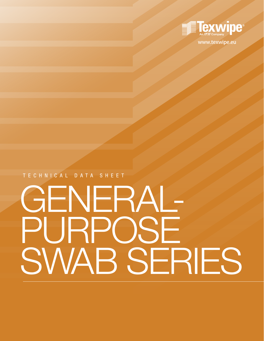

**www.texwipe.eu**

TECHNICAL DATA SHEET

# GENERAL-PURPOSE SWAB SERIES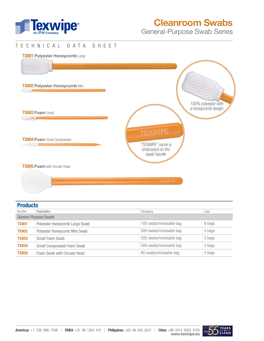

# Cleanroom Swabs

General-Purpose Swab Series

#### TECHNICAL DATA SHEET

#### **TX801 Polyester Honeycomb Large**



#### **Products**

|              |                                | Packaging<br>Case        |        |  |  |  |
|--------------|--------------------------------|--------------------------|--------|--|--|--|
| Number       | Description                    |                          |        |  |  |  |
|              | General-Purpose Swabs          |                          |        |  |  |  |
| <b>TX801</b> | Polyester Honeycomb Large Swab | 100 swabs/reclosable bag | 6 bags |  |  |  |
| <b>TX802</b> | Polyester Honeycomb Mini Swab  | 500 swabs/reclosable bag | 5 bags |  |  |  |
| <b>TX803</b> | Small Foam Swab                | 500 swabs/reclosable bag | 3 bags |  |  |  |
| <b>TX804</b> | Small Compressed Foam Swab     | 500 swabs/reclosable bag | 3 bags |  |  |  |
| <b>TX805</b> | Foam Swab with Circular Head   | 80 swabs/reclosable bag  | 5 bags |  |  |  |

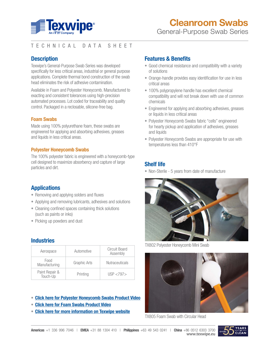

# TECHNICAL DATA SHEET

## **Description**

Texwipe's General-Purpose Swab Series was developed specifically for less critical areas, industrial or general purpose applications. Complete thermal bond construction of the swab head eliminates the risk of adhesive contamination.

Available in Foam and Polyester Honeycomb. Manufactured to exacting and consistent tolerances using high-precision automated processes. Lot coded for traceability and quality control. Packaged in a reclosable, silicone-free bag.

#### **Foam Swabs**

Made using 100% polyurethane foam, these swabs are engineered for applying and absorbing adhesives, greases and liquids in less critical areas.

#### **Polyester Honeycomb Swabs**

The 100% polyester fabric is engineered with a honeycomb-type cell designed to maximize absorbency and capture of large particles and dirt.

# **Applications**

- Removing and applying solders and fluxes
- Applying and removing lubricants, adhesives and solutions
- Cleaning confined spaces containing thick solutions (such as paints or inks)
- Picking up powders and dust

#### **Industries**

| Aerospace                  | Automotive   | Circuit Board<br>Assembly |
|----------------------------|--------------|---------------------------|
| Food<br>Manufacturing      | Graphic Arts | <b>Nutraceuticals</b>     |
| Paint Repair &<br>Touch-Up | Printing     | USP < 797                 |

- **[Click here for Polyester Honeycomb Swabs Product Video](https://www.youtube.com/watch?v=045rD5tpJHs)**
- **[Click here for Foam Swabs Product Video](https://www.youtube.com/watch?v=VsjfqQyQCGk)**
- **[Click here for more information on Texwipe website](https://www.texwipe.com/swabs?specs=80)**

## **Features & Benefits**

- Good chemical resistance and compatibility with a variety of solutions
- Orange-handle provides easy identification for use in less critical areas
- 100% polypropylene handle has excellent chemical compatibility and will not break down with use of common chemicals
- Engineered for applying and absorbing adhesives, greases or liquids in less critical areas
- Polyester Honeycomb Swabs fabric "cells" engineered for hearty pickup and application of adhesives, greases and liquids
- Polyester Honeycomb Swabs are appropriate for use with temperatures less than 410°F

## **Shelf life**

• Non-Sterile - 5 years from date of manufacture



TX802 Polyester Honeycomb Mini Swab



TX805 Foam Swab with Circular Head

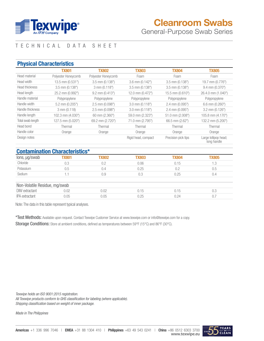

# Cleanroom Swabs

General-Purpose Swab Series

# TECHNICAL DATA SHEET

#### **Physical Characteristics**

|                       | <b>TX801</b>        | <b>TX802</b>        | <b>TX803</b>        | <b>TX804</b>        | <b>TX805</b>                        |
|-----------------------|---------------------|---------------------|---------------------|---------------------|-------------------------------------|
| Head material         | Polyester Honeycomb | Polyester Honeycomb | Foam                | Foam                | Foam                                |
| Head width            | 13.5 mm (0.531")    | $3.5$ mm $(0.138")$ | 3.6 mm (0.142")     | $3.5$ mm $(0.138")$ | 19.7 mm (0.776")                    |
| <b>Head thickness</b> | $3.5$ mm $(0.138")$ | 3 mm (0.118")       | $3.5$ mm $(0.138")$ | 3.5 mm (0.138")     | $9.4$ mm $(0.370)$                  |
| Head length           | 25.2 mm (0.992")    | $9.2$ mm $(0.413")$ | 12.0 mm (0.472")    | 15.5 mm (0.610")    | 26.4.0 mm (1.040")                  |
| Handle material       | Polypropylene       | Polypropylene       | Polypropylene       | Polypropylene       | Polypropylene                       |
| Handle width          | 5.2 mm (0.205")     | $2.5$ mm $(0.098")$ | $3.0$ mm $(0.118")$ | $2.4$ mm $(0.095")$ | $6.6$ mm $(0.260")$                 |
| Handle thickness      | $3$ mm $(0.118)$    | $2.5$ mm $(0.098")$ | 3.0 mm (0.118")     | 2.4 mm (0.095")     | $3.2$ mm $(0.126)$                  |
| Handle length         | 102.3 mm (4.030")   | 60 mm (2.360")      | 59.0 mm (2.323")    | 51.0 mm (2.008")    | 105.8 mm (4.170")                   |
| Total swab length     | 127.5 mm (5.020")   | 69.2 mm (2.720")    | 71.0 mm (2.795")    | 66.5 mm (2.62")     | 132.2 mm (5.200")                   |
| Head bond             | Thermal             | Thermal             | Thermal             | Thermal             | Thermal                             |
| Handle color          | Orange              | Orange              | Orange              | Orange              | Orange                              |
| Design notes          |                     |                     | Rigid head, compact | Precision pick tips | Large lollipop head;<br>long handle |

#### **Contamination Characteristics\***

|                               | <u>oontammation onaraotonotioo</u> |              |              |              |              |
|-------------------------------|------------------------------------|--------------|--------------|--------------|--------------|
| lons, µg/swab                 | <b>TX801</b>                       | <b>TX802</b> | <b>TX803</b> | <b>TX804</b> | <b>TX805</b> |
| Chloride                      | 0.3                                | 0.2          | 0.06         | 0.15         | 1.3          |
| Potassium                     | 0.5                                | 0.4          | 0.25         | 0.2          | 0.5          |
| Sodium                        |                                    | 0.9          | 0.3          | 0.25         | 0.4          |
| Non-Volatile Residue, mg/swab |                                    |              |              |              |              |
| <b>DIW</b> extractant         | 0.02                               | 0.02         | 0.15         | 0.15         | 0.3          |
| IPA extractant                | 0.05                               | 0.05         | 0.25         | 0.24         | 0.7          |
|                               |                                    |              |              |              |              |

Note: The data in this table represent typical analyses.

\*Test Methods: Available upon request. Contact Texwipe Customer Service at www.texwipe.com or info@texwipe.com for a copy.

Storage Conditions: Store at ambient conditions, defined as temperatures between 59°F (15°C) and 86°F (30°C).

*Texwipe holds an ISO 9001:2015 registration. All Texwipe products conform to GHS classification for labeling (where applicable). Shipping classification based on weight of inner package.*

*Made in The Philippines*